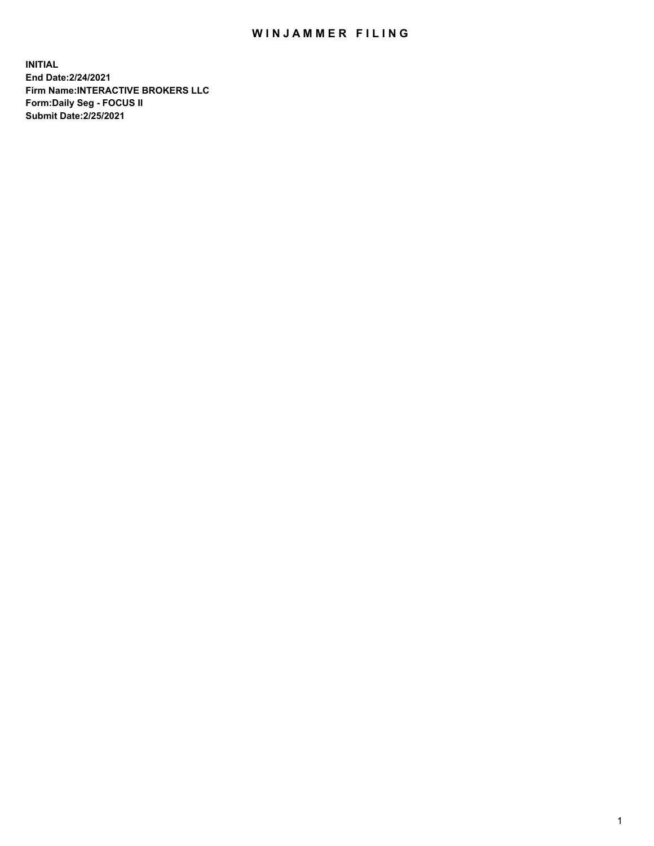## WIN JAMMER FILING

**INITIAL End Date:2/24/2021 Firm Name:INTERACTIVE BROKERS LLC Form:Daily Seg - FOCUS II Submit Date:2/25/2021**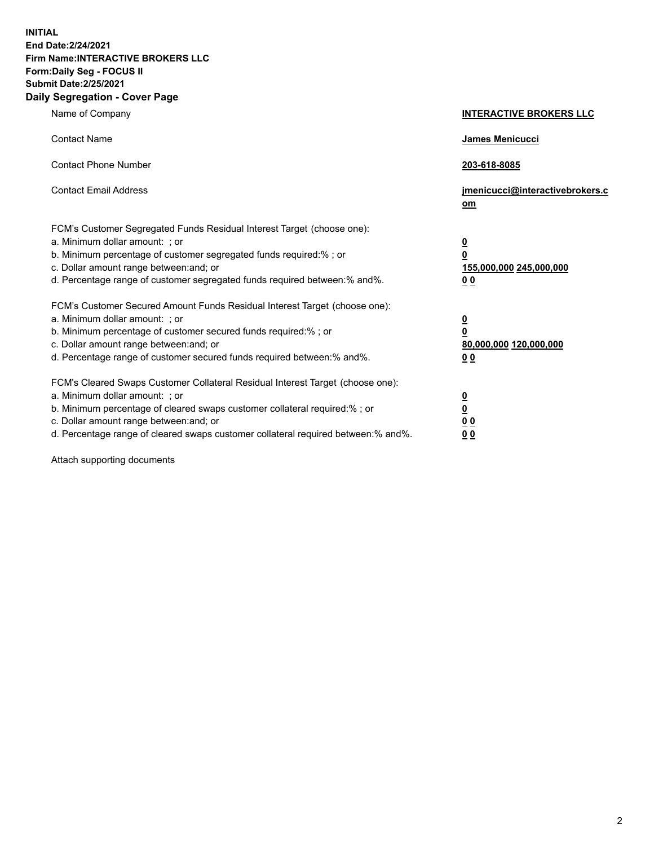**INITIAL End Date:2/24/2021 Firm Name:INTERACTIVE BROKERS LLC Form:Daily Seg - FOCUS II Submit Date:2/25/2021 Daily Segregation - Cover Page**

| Name of Company                                                                                                                                                                                                                                                                                                                | <b>INTERACTIVE BROKERS LLC</b>                                                     |
|--------------------------------------------------------------------------------------------------------------------------------------------------------------------------------------------------------------------------------------------------------------------------------------------------------------------------------|------------------------------------------------------------------------------------|
| <b>Contact Name</b>                                                                                                                                                                                                                                                                                                            | James Menicucci                                                                    |
| <b>Contact Phone Number</b>                                                                                                                                                                                                                                                                                                    | 203-618-8085                                                                       |
| <b>Contact Email Address</b>                                                                                                                                                                                                                                                                                                   | jmenicucci@interactivebrokers.c<br>om                                              |
| FCM's Customer Segregated Funds Residual Interest Target (choose one):<br>a. Minimum dollar amount: ; or<br>b. Minimum percentage of customer segregated funds required:% ; or<br>c. Dollar amount range between: and; or<br>d. Percentage range of customer segregated funds required between:% and%.                         | $\overline{\mathbf{0}}$<br>$\pmb{0}$<br>155,000,000 245,000,000<br>0 <sub>0</sub>  |
| FCM's Customer Secured Amount Funds Residual Interest Target (choose one):<br>a. Minimum dollar amount: ; or<br>b. Minimum percentage of customer secured funds required:% ; or<br>c. Dollar amount range between: and; or<br>d. Percentage range of customer secured funds required between:% and%.                           | $\overline{\mathbf{0}}$<br>$\overline{\mathbf{0}}$<br>80,000,000 120,000,000<br>00 |
| FCM's Cleared Swaps Customer Collateral Residual Interest Target (choose one):<br>a. Minimum dollar amount: ; or<br>b. Minimum percentage of cleared swaps customer collateral required:% ; or<br>c. Dollar amount range between: and; or<br>d. Percentage range of cleared swaps customer collateral required between:% and%. | $\frac{0}{0}$<br>0 <sub>0</sub><br>0 <sub>0</sub>                                  |

Attach supporting documents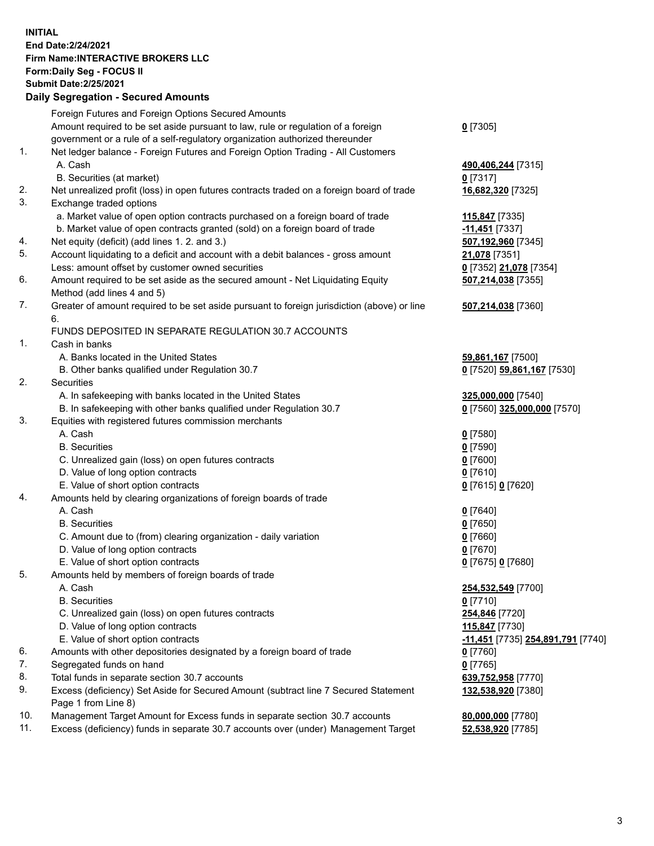**INITIAL End Date:2/24/2021 Firm Name:INTERACTIVE BROKERS LLC Form:Daily Seg - FOCUS II Submit Date:2/25/2021 Daily Segregation - Secured Amounts**

## Foreign Futures and Foreign Options Secured Amounts Amount required to be set aside pursuant to law, rule or regulation of a foreign government or a rule of a self-regulatory organization authorized thereunder **0** [7305] 1. Net ledger balance - Foreign Futures and Foreign Option Trading - All Customers A. Cash **490,406,244** [7315] B. Securities (at market) **0** [7317] 2. Net unrealized profit (loss) in open futures contracts traded on a foreign board of trade **16,682,320** [7325] 3. Exchange traded options a. Market value of open option contracts purchased on a foreign board of trade **115,847** [7335] b. Market value of open contracts granted (sold) on a foreign board of trade **-11,451** [7337] 4. Net equity (deficit) (add lines 1. 2. and 3.) **507,192,960** [7345] 5. Account liquidating to a deficit and account with a debit balances - gross amount **21,078** [7351] Less: amount offset by customer owned securities **0** [7352] **21,078** [7354] 6. Amount required to be set aside as the secured amount - Net Liquidating Equity Method (add lines 4 and 5) **507,214,038** [7355] 7. Greater of amount required to be set aside pursuant to foreign jurisdiction (above) or line 6. **507,214,038** [7360] FUNDS DEPOSITED IN SEPARATE REGULATION 30.7 ACCOUNTS 1. Cash in banks A. Banks located in the United States **59,861,167** [7500] B. Other banks qualified under Regulation 30.7 **0** [7520] **59,861,167** [7530] 2. Securities A. In safekeeping with banks located in the United States **325,000,000** [7540] B. In safekeeping with other banks qualified under Regulation 30.7 **0** [7560] **325,000,000** [7570] 3. Equities with registered futures commission merchants A. Cash **0** [7580] B. Securities **0** [7590] C. Unrealized gain (loss) on open futures contracts **0** [7600] D. Value of long option contracts **0** [7610] E. Value of short option contracts **0** [7615] **0** [7620] 4. Amounts held by clearing organizations of foreign boards of trade A. Cash **0** [7640] B. Securities **0** [7650] C. Amount due to (from) clearing organization - daily variation **0** [7660] D. Value of long option contracts **0** [7670] E. Value of short option contracts **0** [7675] **0** [7680] 5. Amounts held by members of foreign boards of trade A. Cash **254,532,549** [7700] B. Securities **0** [7710] C. Unrealized gain (loss) on open futures contracts **254,846** [7720] D. Value of long option contracts **115,847** [7730] E. Value of short option contracts **-11,451** [7735] **254,891,791** [7740] 6. Amounts with other depositories designated by a foreign board of trade **0** [7760] 7. Segregated funds on hand **0** [7765] 8. Total funds in separate section 30.7 accounts **639,752,958** [7770] 9. Excess (deficiency) Set Aside for Secured Amount (subtract line 7 Secured Statement Page 1 from Line 8) **132,538,920** [7380] 10. Management Target Amount for Excess funds in separate section 30.7 accounts **80,000,000** [7780] 11. Excess (deficiency) funds in separate 30.7 accounts over (under) Management Target **52,538,920** [7785]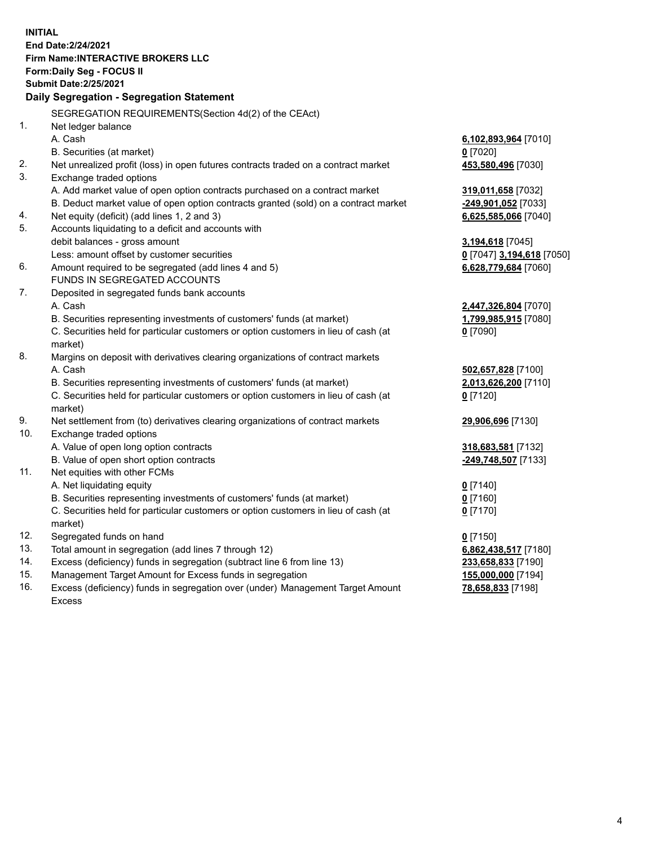**INITIAL End Date:2/24/2021 Firm Name:INTERACTIVE BROKERS LLC Form:Daily Seg - FOCUS II Submit Date:2/25/2021 Daily Segregation - Segregation Statement** SEGREGATION REQUIREMENTS(Section 4d(2) of the CEAct) 1. Net ledger balance A. Cash **6,102,893,964** [7010] B. Securities (at market) **0** [7020] 2. Net unrealized profit (loss) in open futures contracts traded on a contract market **453,580,496** [7030] 3. Exchange traded options A. Add market value of open option contracts purchased on a contract market **319,011,658** [7032] B. Deduct market value of open option contracts granted (sold) on a contract market **-249,901,052** [7033] 4. Net equity (deficit) (add lines 1, 2 and 3) **6,625,585,066** [7040] 5. Accounts liquidating to a deficit and accounts with debit balances - gross amount **3,194,618** [7045] Less: amount offset by customer securities **0** [7047] **3,194,618** [7050] 6. Amount required to be segregated (add lines 4 and 5) **6,628,779,684** [7060] FUNDS IN SEGREGATED ACCOUNTS 7. Deposited in segregated funds bank accounts A. Cash **2,447,326,804** [7070] B. Securities representing investments of customers' funds (at market) **1,799,985,915** [7080] C. Securities held for particular customers or option customers in lieu of cash (at market) **0** [7090] 8. Margins on deposit with derivatives clearing organizations of contract markets A. Cash **502,657,828** [7100] B. Securities representing investments of customers' funds (at market) **2,013,626,200** [7110] C. Securities held for particular customers or option customers in lieu of cash (at market) **0** [7120] 9. Net settlement from (to) derivatives clearing organizations of contract markets **29,906,696** [7130] 10. Exchange traded options A. Value of open long option contracts **318,683,581** [7132] B. Value of open short option contracts **-249,748,507** [7133] 11. Net equities with other FCMs A. Net liquidating equity **0** [7140] B. Securities representing investments of customers' funds (at market) **0** [7160] C. Securities held for particular customers or option customers in lieu of cash (at market) **0** [7170] 12. Segregated funds on hand **0** [7150] 13. Total amount in segregation (add lines 7 through 12) **6,862,438,517** [7180] 14. Excess (deficiency) funds in segregation (subtract line 6 from line 13) **233,658,833** [7190] 15. Management Target Amount for Excess funds in segregation **155,000,000** [7194]

16. Excess (deficiency) funds in segregation over (under) Management Target Amount Excess

**78,658,833** [7198]